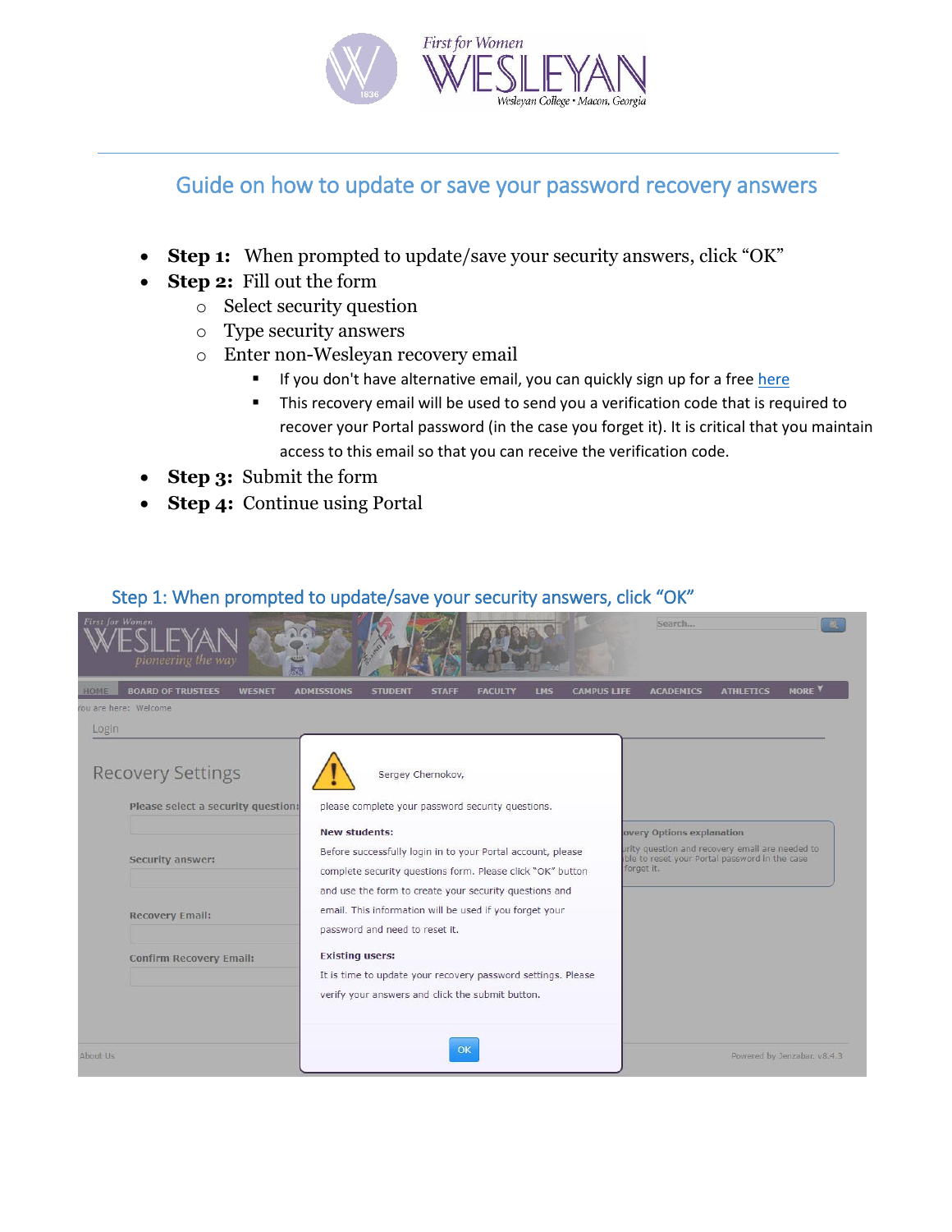

# Guide on how to update or save your password recovery answers

- **Step 1:** When prompted to update/save your security answers, click "OK"
- **Step 2:** Fill out the form
	- o Select security question
	- o Type security answers
	- o Enter non-Wesleyan recovery email
		- If you don't have alternative email, you can quickly sign up for a fre[e here](https://accounts.google.com/SignUp)
		- This recovery email will be used to send you a verification code that is required to recover your Portal password (in the case you forget it). It is critical that you maintain access to this email so that you can receive the verification code.
- **Step 3:** Submit the form
- **Step 4:** Continue using Portal

## Step 1: When prompted to update/save your security answers, click "OK"

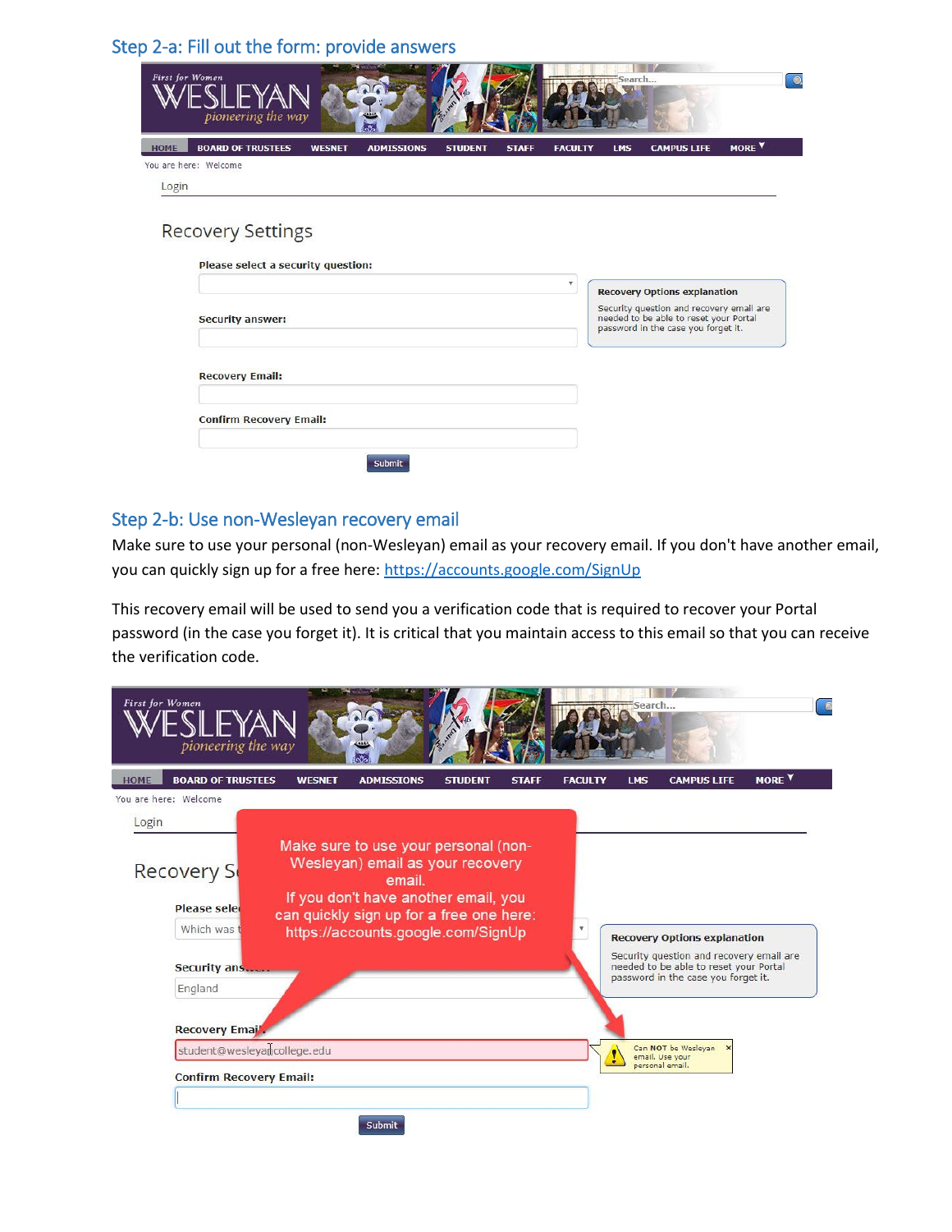## Step 2-a: Fill out the form: provide answers

| First for Women | pioneering the way                 |               |                   |                |              |                                                                                                                                                                  | Search     |                    |                   | $\odot$ |
|-----------------|------------------------------------|---------------|-------------------|----------------|--------------|------------------------------------------------------------------------------------------------------------------------------------------------------------------|------------|--------------------|-------------------|---------|
| <b>HOME</b>     | <b>BOARD OF TRUSTEES</b>           | <b>WESNET</b> | <b>ADMISSIONS</b> | <b>STUDENT</b> | <b>STAFF</b> | <b>FACULTY</b>                                                                                                                                                   | <b>LMS</b> | <b>CAMPUS LIFE</b> | MORE <sup>Y</sup> |         |
| Login           | You are here: Welcome              |               |                   |                |              |                                                                                                                                                                  |            |                    |                   |         |
|                 |                                    |               |                   |                |              |                                                                                                                                                                  |            |                    |                   |         |
|                 | <b>Recovery Settings</b>           |               |                   |                |              |                                                                                                                                                                  |            |                    |                   |         |
|                 | Please select a security question: |               |                   |                |              |                                                                                                                                                                  |            |                    |                   |         |
|                 | v<br><b>Security answer:</b>       |               |                   |                |              | <b>Recovery Options explanation</b><br>Security question and recovery email are<br>needed to be able to reset your Portal<br>password in the case you forget it. |            |                    |                   |         |
|                 |                                    |               |                   |                |              |                                                                                                                                                                  |            |                    |                   |         |
|                 | <b>Recovery Email:</b>             |               |                   |                |              |                                                                                                                                                                  |            |                    |                   |         |
|                 | <b>Confirm Recovery Email:</b>     |               |                   |                |              |                                                                                                                                                                  |            |                    |                   |         |
|                 |                                    |               | Submit            |                |              |                                                                                                                                                                  |            |                    |                   |         |

#### Step 2-b: Use non-Wesleyan recovery email

Make sure to use your personal (non-Wesleyan) email as your recovery email. If you don't have another email, you can quickly sign up for a free here:<https://accounts.google.com/SignUp>

This recovery email will be used to send you a verification code that is required to recover your Portal password (in the case you forget it). It is critical that you maintain access to this email so that you can receive the verification code.

| <b>First for Women</b><br>pioneering the way                                   | Search                                                                                                                                                                                                                                                                                                                                    |
|--------------------------------------------------------------------------------|-------------------------------------------------------------------------------------------------------------------------------------------------------------------------------------------------------------------------------------------------------------------------------------------------------------------------------------------|
| <b>BOARD OF TRUSTEES</b><br><b>HOME</b><br>You are here: Welcome               | <b>MOREY</b><br><b>WESNET</b><br><b>STUDENT</b><br><b>STAFF</b><br><b>CAMPUS LIFE</b><br><b>ADMISSIONS</b><br><b>FACULTY</b><br><b>LMS</b>                                                                                                                                                                                                |
| Login<br><b>Recovery S</b><br><b>Please seled</b><br>Which was<br>Security ans | Make sure to use your personal (non-<br>Wesleyan) email as your recovery<br>email.<br>If you don't have another email, you<br>can quickly sign up for a free one here:<br>https://accounts.google.com/SignUp<br><b>Recovery Options explanation</b><br>Security question and recovery email are<br>needed to be able to reset your Portal |
| England<br><b>Recovery Email</b>                                               | password in the case you forget it.                                                                                                                                                                                                                                                                                                       |
|                                                                                | student@wesleyamcollege.edu<br>Can NOT be Wesleyan<br>email. Use your                                                                                                                                                                                                                                                                     |
| <b>Confirm Recovery Email:</b>                                                 | personal email.                                                                                                                                                                                                                                                                                                                           |
|                                                                                | <b>Submit</b>                                                                                                                                                                                                                                                                                                                             |